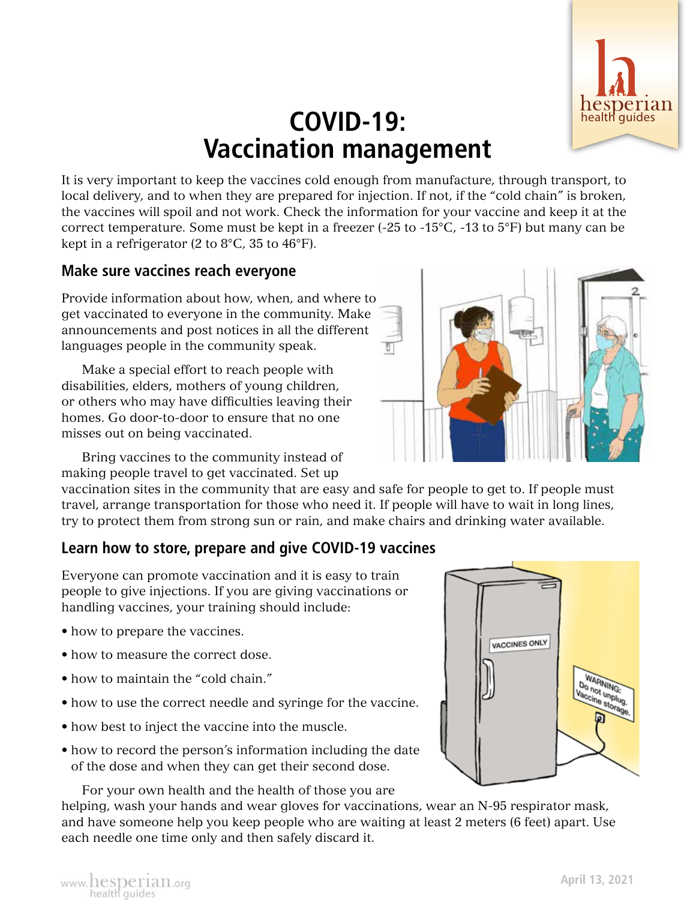

## **COVID-19: COVID-19: COVID-19: Vaccination management**

It is very important to keep the vaccines cold enough from manufacture, through transport, to local delivery, and to when they are prepared for injection. If not, if the "cold chain" is broken, the vaccines will spoil and not work. Check the information for your vaccine and keep it at the correct temperature. Some must be kept in a freezer (-25 to -15°C, -13 to 5°F) but many can be kept in a refrigerator (2 to 8°C, 35 to 46°F).

## **Make sure vaccines reach everyone**

Provide information about how, when, and where to get vaccinated to everyone in the community. Make announcements and post notices in all the different languages people in the community speak.

Make a special effort to reach people with disabilities, elders, mothers of young children, or others who may have difficulties leaving their homes. Go door-to-door to ensure that no one misses out on being vaccinated.

Bring vaccines to the community instead of making people travel to get vaccinated. Set up

vaccination sites in the community that are easy and safe for people to get to. If people must travel, arrange transportation for those who need it. If people will have to wait in long lines, try to protect them from strong sun or rain, and make chairs and drinking water available.

## **Learn how to store, prepare and give COVID-19 vaccines**

Everyone can promote vaccination and it is easy to train people to give injections. If you are giving vaccinations or handling vaccines, your training should include:

- how to prepare the vaccines.
- how to measure the correct dose.
- how to maintain the "cold chain."
- how to use the correct needle and syringe for the vaccine.
- how best to inject the vaccine into the muscle.
- how to record the person's information including the date of the dose and when they can get their second dose.

For your own health and the health of those you are helping, wash your hands and wear gloves for vaccinations, wear an N-95 respirator mask, and have someone help you keep people who are waiting at least 2 meters (6 feet) apart. Use each needle one time only and then safely discard it.